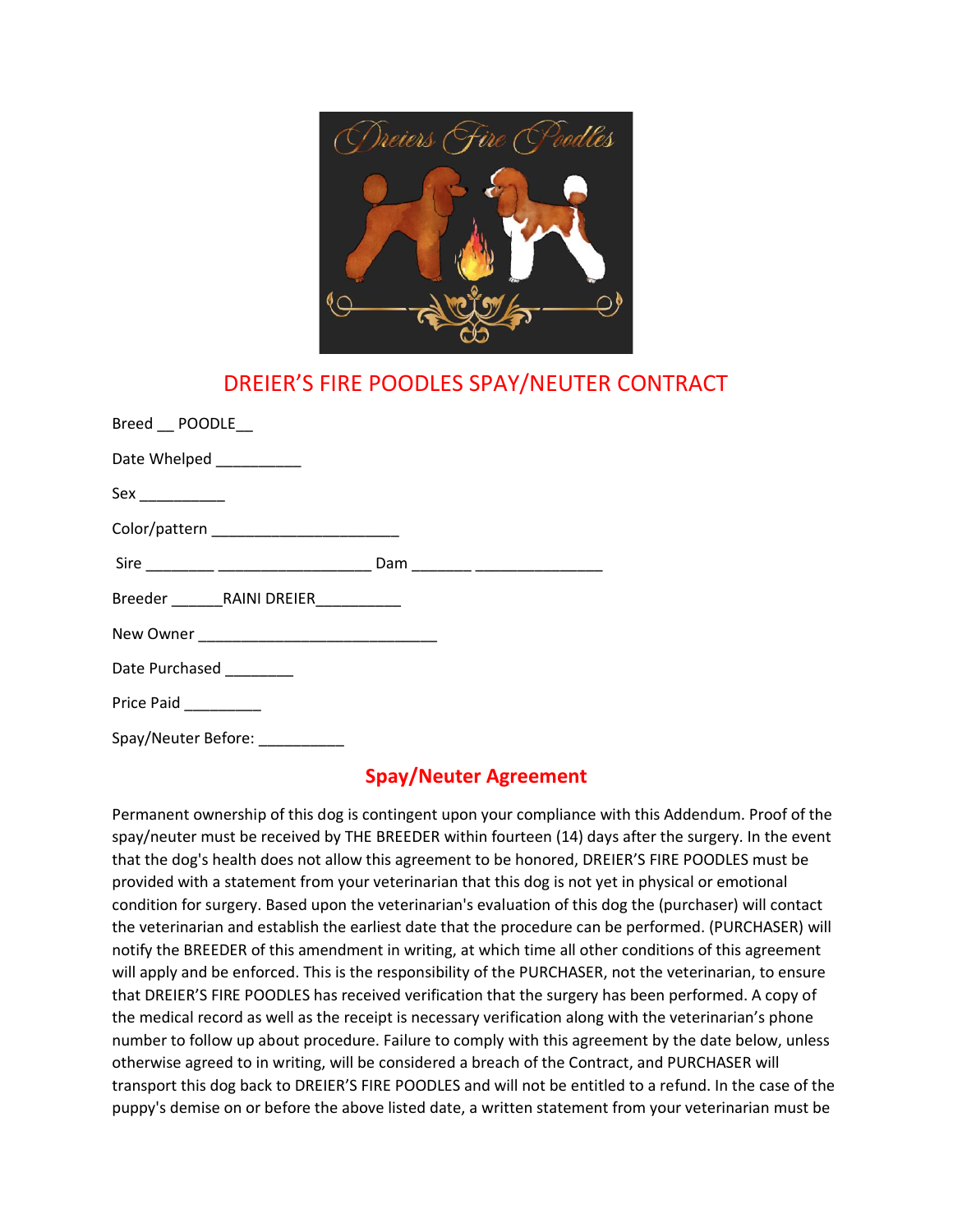

## DREIER'S FIRE POODLES SPAY/NEUTER CONTRACT

| Breed POODLE                           |  |
|----------------------------------------|--|
| Date Whelped ___________               |  |
|                                        |  |
| Color/pattern ________________________ |  |
|                                        |  |
|                                        |  |
|                                        |  |
| Date Purchased ________                |  |
| Price Paid ________                    |  |
| Spay/Neuter Before:                    |  |

## **Spay/Neuter Agreement**

Permanent ownership of this dog is contingent upon your compliance with this Addendum. Proof of the spay/neuter must be received by THE BREEDER within fourteen (14) days after the surgery. In the event that the dog's health does not allow this agreement to be honored, DREIER'S FIRE POODLES must be provided with a statement from your veterinarian that this dog is not yet in physical or emotional condition for surgery. Based upon the veterinarian's evaluation of this dog the (purchaser) will contact the veterinarian and establish the earliest date that the procedure can be performed. (PURCHASER) will notify the BREEDER of this amendment in writing, at which time all other conditions of this agreement will apply and be enforced. This is the responsibility of the PURCHASER, not the veterinarian, to ensure that DREIER'S FIRE POODLES has received verification that the surgery has been performed. A copy of the medical record as well as the receipt is necessary verification along with the veterinarian's phone number to follow up about procedure. Failure to comply with this agreement by the date below, unless otherwise agreed to in writing, will be considered a breach of the Contract, and PURCHASER will transport this dog back to DREIER'S FIRE POODLES and will not be entitled to a refund. In the case of the puppy's demise on or before the above listed date, a written statement from your veterinarian must be